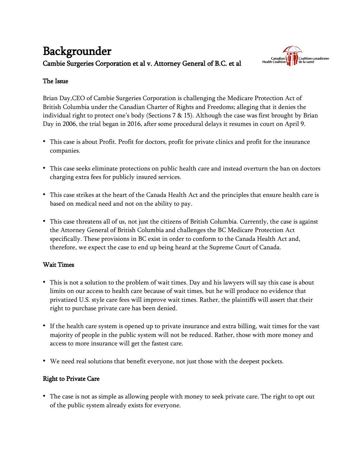# Backgrounder Cambie Surgeries Corporation et al v. Attorney General of B.C. et al



## The Issue

Brian Day,CEO of Cambie Surgeries Corporation is challenging the Medicare Protection Act of British Columbia under the Canadian Charter of Rights and Freedoms; alleging that it denies the individual right to protect one's body (Sections 7 & 15). Although the case was first brought by Brian Day in 2006, the trial began in 2016, after some procedural delays it resumes in court on April 9.

- This case is about Profit. Profit for doctors, profit for private clinics and profit for the insurance companies.
- This case seeks eliminate protections on public health care and instead overturn the ban on doctors charging extra fees for publicly insured services.
- This case strikes at the heart of the Canada Health Act and the principles that ensure health care is based on medical need and not on the ability to pay.
- This case threatens all of us, not just the citizens of British Columbia. Currently, the case is against the Attorney General of British Columbia and challenges the BC Medicare Protection Act specifically. These provisions in BC exist in order to conform to the Canada Health Act and, therefore, we expect the case to end up being heard at the Supreme Court of Canada.

#### Wait Times

- This is not a solution to the problem of wait times. Day and his lawyers will say this case is about limits on our access to health care because of wait times, but he will produce no evidence that privatized U.S. style care fees will improve wait times. Rather, the plaintiffs will assert that their right to purchase private care has been denied.
- If the health care system is opened up to private insurance and extra billing, wait times for the vast majority of people in the public system will not be reduced. Rather, those with more money and access to more insurance will get the fastest care.
- We need real solutions that benefit everyone, not just those with the deepest pockets.

#### Right to Private Care

• The case is not as simple as allowing people with money to seek private care. The right to opt out of the public system already exists for everyone.